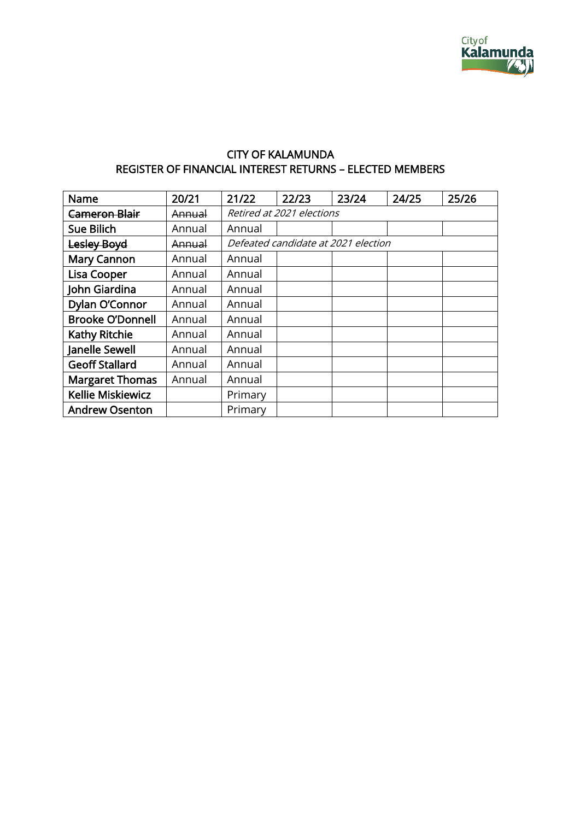

## CITY OF KALAMUNDA REGISTER OF FINANCIAL INTEREST RETURNS – ELECTED MEMBERS

| Name                     | 20/21             | 21/22                               | 22/23 | 23/24 | 24/25 | 25/26 |  |
|--------------------------|-------------------|-------------------------------------|-------|-------|-------|-------|--|
| <b>Cameron Blair</b>     | Annual            | Retired at 2021 elections           |       |       |       |       |  |
| Sue Bilich               | Annual            | Annual                              |       |       |       |       |  |
| Lesley Boyd              | <del>Annual</del> | Defeated candidate at 2021 election |       |       |       |       |  |
| <b>Mary Cannon</b>       | Annual            | Annual                              |       |       |       |       |  |
| <b>Lisa Cooper</b>       | Annual            | Annual                              |       |       |       |       |  |
| John Giardina            | Annual            | Annual                              |       |       |       |       |  |
| Dylan O'Connor           | Annual            | Annual                              |       |       |       |       |  |
| <b>Brooke O'Donnell</b>  | Annual            | Annual                              |       |       |       |       |  |
| <b>Kathy Ritchie</b>     | Annual            | Annual                              |       |       |       |       |  |
| Janelle Sewell           | Annual            | Annual                              |       |       |       |       |  |
| <b>Geoff Stallard</b>    | Annual            | Annual                              |       |       |       |       |  |
| <b>Margaret Thomas</b>   | Annual            | Annual                              |       |       |       |       |  |
| <b>Kellie Miskiewicz</b> |                   | Primary                             |       |       |       |       |  |
| <b>Andrew Osenton</b>    |                   | Primary                             |       |       |       |       |  |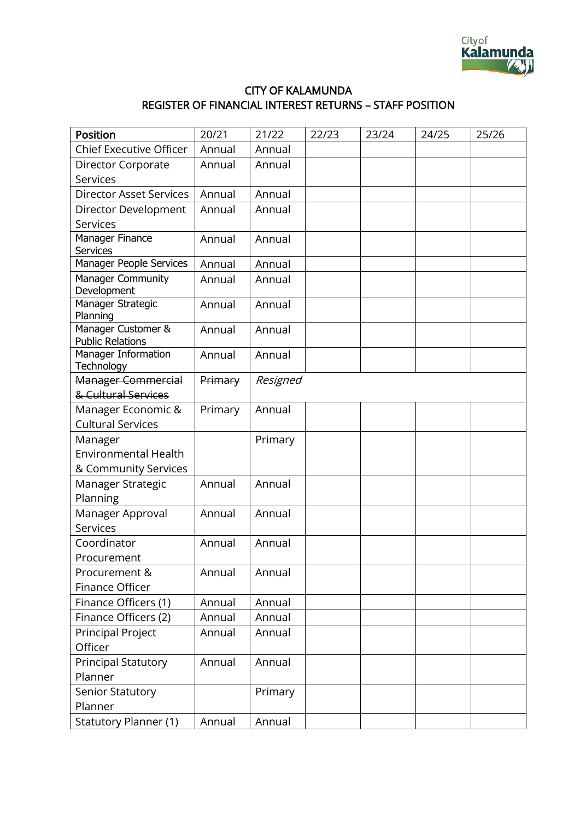

## CITY OF KALAMUNDA REGISTER OF FINANCIAL INTEREST RETURNS – STAFF POSITION

| Position                                      | 20/21   | 21/22    | 22/23 | 23/24 | 24/25 | 25/26 |
|-----------------------------------------------|---------|----------|-------|-------|-------|-------|
| <b>Chief Executive Officer</b>                | Annual  | Annual   |       |       |       |       |
| Director Corporate                            | Annual  | Annual   |       |       |       |       |
| Services                                      |         |          |       |       |       |       |
| <b>Director Asset Services</b>                | Annual  | Annual   |       |       |       |       |
| Director Development                          | Annual  | Annual   |       |       |       |       |
| Services                                      |         |          |       |       |       |       |
| Manager Finance<br><b>Services</b>            | Annual  | Annual   |       |       |       |       |
| Manager People Services                       | Annual  | Annual   |       |       |       |       |
| Manager Community<br>Development              | Annual  | Annual   |       |       |       |       |
| Manager Strategic<br>Planning                 | Annual  | Annual   |       |       |       |       |
| Manager Customer &<br><b>Public Relations</b> | Annual  | Annual   |       |       |       |       |
| Manager Information<br>Technology             | Annual  | Annual   |       |       |       |       |
| Manager Commercial                            | Primary | Resigned |       |       |       |       |
| & Cultural Services                           |         |          |       |       |       |       |
| Manager Economic &                            | Primary | Annual   |       |       |       |       |
| <b>Cultural Services</b>                      |         |          |       |       |       |       |
| Manager                                       |         | Primary  |       |       |       |       |
| <b>Environmental Health</b>                   |         |          |       |       |       |       |
| & Community Services                          |         |          |       |       |       |       |
| Manager Strategic                             | Annual  | Annual   |       |       |       |       |
| Planning                                      |         |          |       |       |       |       |
| Manager Approval                              | Annual  | Annual   |       |       |       |       |
| Services                                      |         |          |       |       |       |       |
| Coordinator                                   | Annual  | Annual   |       |       |       |       |
| Procurement                                   |         |          |       |       |       |       |
| Procurement &                                 | Annual  | Annual   |       |       |       |       |
| Finance Officer                               |         |          |       |       |       |       |
| Finance Officers (1)                          | Annual  | Annual   |       |       |       |       |
| Finance Officers (2)                          | Annual  | Annual   |       |       |       |       |
| <b>Principal Project</b><br>Officer           | Annual  | Annual   |       |       |       |       |
| <b>Principal Statutory</b>                    | Annual  | Annual   |       |       |       |       |
| Planner                                       |         |          |       |       |       |       |
| Senior Statutory                              |         | Primary  |       |       |       |       |
| Planner                                       |         |          |       |       |       |       |
| <b>Statutory Planner (1)</b>                  | Annual  | Annual   |       |       |       |       |